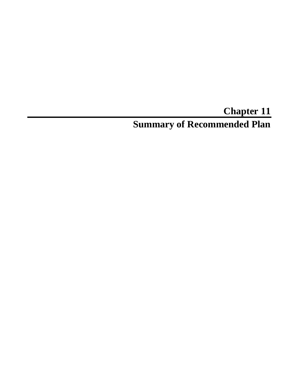# **Chapter 11 Summary of Recommended Plan**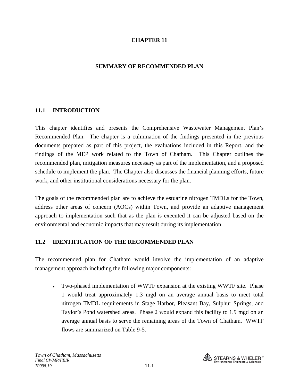#### **CHAPTER 11**

#### **SUMMARY OF RECOMMENDED PLAN**

#### **11.1 INTRODUCTION**

This chapter identifies and presents the Comprehensive Wastewater Management Plan's Recommended Plan. The chapter is a culmination of the findings presented in the previous documents prepared as part of this project, the evaluations included in this Report, and the findings of the MEP work related to the Town of Chatham. This Chapter outlines the recommended plan, mitigation measures necessary as part of the implementation, and a proposed schedule to implement the plan. The Chapter also discusses the financial planning efforts, future work, and other institutional considerations necessary for the plan.

The goals of the recommended plan are to achieve the estuarine nitrogen TMDLs for the Town, address other areas of concern (AOCs) within Town, and provide an adaptive management approach to implementation such that as the plan is executed it can be adjusted based on the environmental and economic impacts that may result during its implementation.

#### **11.2 IDENTIFICATION OF THE RECOMMENDED PLAN**

The recommended plan for Chatham would involve the implementation of an adaptive management approach including the following major components:

• Two-phased implementation of WWTF expansion at the existing WWTF site. Phase 1 would treat approximately 1.3 mgd on an average annual basis to meet total nitrogen TMDL requirements in Stage Harbor, Pleasant Bay, Sulphur Springs, and Taylor's Pond watershed areas. Phase 2 would expand this facility to 1.9 mgd on an average annual basis to serve the remaining areas of the Town of Chatham. WWTF flows are summarized on Table 9-5.

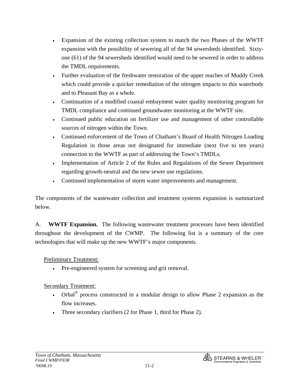- Expansion of the existing collection system to match the two Phases of the WWTF expansion with the possibility of sewering all of the 94 sewersheds identified. Sixtyone (61) of the 94 sewersheds identified would need to be sewered in order to address the TMDL requirements.
- Further evaluation of the freshwater restoration of the upper reaches of Muddy Creek which could provide a quicker remediation of the nitrogen impacts to this waterbody and to Pleasant Bay as a whole.
- Continuation of a modified coastal embayment water quality monitoring program for TMDL compliance and continued groundwater monitoring at the WWTF site.
- Continued public education on fertilizer use and management of other controllable sources of nitrogen within the Town.
- Continued enforcement of the Town of Chatham's Board of Health Nitrogen Loading Regulation in those areas not designated for immediate (next five to ten years) connection to the WWTF as part of addressing the Town's TMDLs.
- Implementation of Article 2 of the Rules and Regulations of the Sewer Department regarding growth-neutral and the new sewer use regulations.
- Continued implementation of storm water improvements and management.

The components of the wastewater collection and treatment systems expansion is summarized below.

A. **WWTF Expansion.** The following wastewater treatment processes have been identified throughout the development of the CWMP. The following list is a summary of the core technologies that will make up the new WWTF's major components.

## Preliminary Treatment:

• Pre-engineered system for screening and grit removal.

## Secondary Treatment:

- Orbal<sup>®</sup> process constructed in a modular design to allow Phase 2 expansion as the flow increases.
- Three secondary clarifiers (2 for Phase 1, third for Phase 2).

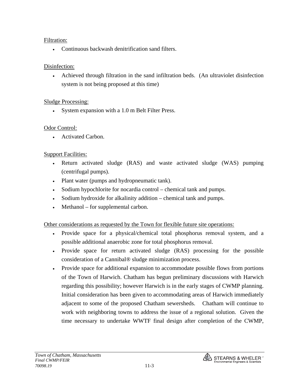## Filtration:

• Continuous backwash denitrification sand filters.

## Disinfection:

• Achieved through filtration in the sand infiltration beds. (An ultraviolet disinfection system is not being proposed at this time)

## Sludge Processing:

• System expansion with a 1.0 m Belt Filter Press.

## Odor Control:

• Activated Carbon.

# Support Facilities:

- Return activated sludge (RAS) and waste activated sludge (WAS) pumping (centrifugal pumps).
- Plant water (pumps and hydropneumatic tank).
- Sodium hypochlorite for nocardia control chemical tank and pumps.
- Sodium hydroxide for alkalinity addition chemical tank and pumps.
- Methanol for supplemental carbon.

Other considerations as requested by the Town for flexible future site operations:

- Provide space for a physical/chemical total phosphorus removal system, and a possible additional anaerobic zone for total phosphorus removal.
- Provide space for return activated sludge (RAS) processing for the possible consideration of a Cannibal® sludge minimization process.
- Provide space for additional expansion to accommodate possible flows from portions of the Town of Harwich. Chatham has begun preliminary discussions with Harwich regarding this possibility; however Harwich is in the early stages of CWMP planning. Initial consideration has been given to accommodating areas of Harwich immediately adjacent to some of the proposed Chatham sewersheds. Chatham will continue to work with neighboring towns to address the issue of a regional solution. Given the time necessary to undertake WWTF final design after completion of the CWMP,

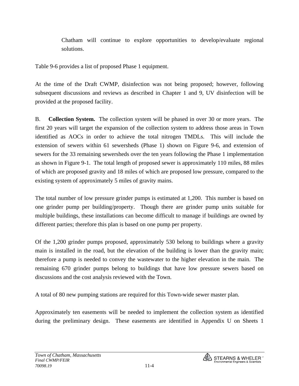Chatham will continue to explore opportunities to develop/evaluate regional solutions.

Table 9-6 provides a list of proposed Phase 1 equipment.

At the time of the Draft CWMP, disinfection was not being proposed; however, following subsequent discussions and reviews as described in Chapter 1 and 9, UV disinfection will be provided at the proposed facility.

B. **Collection System.** The collection system will be phased in over 30 or more years. The first 20 years will target the expansion of the collection system to address those areas in Town identified as AOCs in order to achieve the total nitrogen TMDLs. This will include the extension of sewers within 61 sewersheds (Phase 1) shown on Figure 9-6, and extension of sewers for the 33 remaining sewersheds over the ten years following the Phase 1 implementation as shown in Figure 9-1. The total length of proposed sewer is approximately 110 miles, 88 miles of which are proposed gravity and 18 miles of which are proposed low pressure, compared to the existing system of approximately 5 miles of gravity mains.

The total number of low pressure grinder pumps is estimated at 1,200. This number is based on one grinder pump per building/property. Though there are grinder pump units suitable for multiple buildings, these installations can become difficult to manage if buildings are owned by different parties; therefore this plan is based on one pump per property.

Of the 1,200 grinder pumps proposed, approximately 530 belong to buildings where a gravity main is installed in the road, but the elevation of the building is lower than the gravity main; therefore a pump is needed to convey the wastewater to the higher elevation in the main. The remaining 670 grinder pumps belong to buildings that have low pressure sewers based on discussions and the cost analysis reviewed with the Town.

A total of 80 new pumping stations are required for this Town-wide sewer master plan.

Approximately ten easements will be needed to implement the collection system as identified during the preliminary design. These easements are identified in Appendix U on Sheets 1

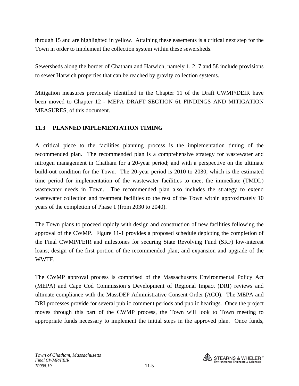through 15 and are highlighted in yellow. Attaining these easements is a critical next step for the Town in order to implement the collection system within these sewersheds.

Sewersheds along the border of Chatham and Harwich, namely 1, 2, 7 and 58 include provisions to sewer Harwich properties that can be reached by gravity collection systems.

Mitigation measures previously identified in the Chapter 11 of the Draft CWMP/DEIR have been moved to Chapter 12 - MEPA DRAFT SECTION 61 FINDINGS AND MITIGATION MEASURES, of this document.

## **11.3 PLANNED IMPLEMENTATION TIMING**

A critical piece to the facilities planning process is the implementation timing of the recommended plan. The recommended plan is a comprehensive strategy for wastewater and nitrogen management in Chatham for a 20-year period; and with a perspective on the ultimate build-out condition for the Town. The 20-year period is 2010 to 2030, which is the estimated time period for implementation of the wastewater facilities to meet the immediate (TMDL) wastewater needs in Town. The recommended plan also includes the strategy to extend wastewater collection and treatment facilities to the rest of the Town within approximately 10 years of the completion of Phase 1 (from 2030 to 2040).

The Town plans to proceed rapidly with design and construction of new facilities following the approval of the CWMP. Figure 11-1 provides a proposed schedule depicting the completion of the Final CWMP/FEIR and milestones for securing State Revolving Fund (SRF) low-interest loans; design of the first portion of the recommended plan; and expansion and upgrade of the WWTF.

The CWMP approval process is comprised of the Massachusetts Environmental Policy Act (MEPA) and Cape Cod Commission's Development of Regional Impact (DRI) reviews and ultimate compliance with the MassDEP Administrative Consent Order (ACO). The MEPA and DRI processes provide for several public comment periods and public hearings. Once the project moves through this part of the CWMP process, the Town will look to Town meeting to appropriate funds necessary to implement the initial steps in the approved plan. Once funds,

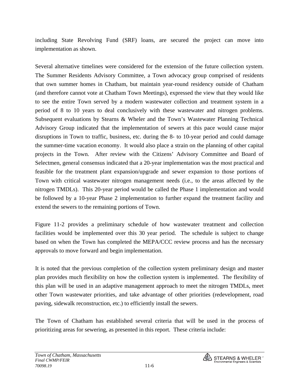including State Revolving Fund (SRF) loans, are secured the project can move into implementation as shown.

Several alternative timelines were considered for the extension of the future collection system. The Summer Residents Advisory Committee, a Town advocacy group comprised of residents that own summer homes in Chatham, but maintain year-round residency outside of Chatham (and therefore cannot vote at Chatham Town Meetings), expressed the view that they would like to see the entire Town served by a modern wastewater collection and treatment system in a period of 8 to 10 years to deal conclusively with these wastewater and nitrogen problems. Subsequent evaluations by Stearns & Wheler and the Town's Wastewater Planning Technical Advisory Group indicated that the implementation of sewers at this pace would cause major disruptions in Town to traffic, business, etc. during the 8- to 10-year period and could damage the summer-time vacation economy. It would also place a strain on the planning of other capital projects in the Town. After review with the Citizens' Advisory Committee and Board of Selectmen, general consensus indicated that a 20-year implementation was the most practical and feasible for the treatment plant expansion/upgrade and sewer expansion to those portions of Town with critical wastewater nitrogen management needs (i.e., to the areas affected by the nitrogen TMDLs). This 20-year period would be called the Phase 1 implementation and would be followed by a 10-year Phase 2 implementation to further expand the treatment facility and extend the sewers to the remaining portions of Town.

Figure 11-2 provides a preliminary schedule of how wastewater treatment and collection facilities would be implemented over this 30 year period. The schedule is subject to change based on when the Town has completed the MEPA/CCC review process and has the necessary approvals to move forward and begin implementation.

It is noted that the previous completion of the collection system preliminary design and master plan provides much flexibility on how the collection system is implemented. The flexibility of this plan will be used in an adaptive management approach to meet the nitrogen TMDLs, meet other Town wastewater priorities, and take advantage of other priorities (redevelopment, road paving, sidewalk reconstruction, etc.) to efficiently install the sewers.

The Town of Chatham has established several criteria that will be used in the process of prioritizing areas for sewering, as presented in this report. These criteria include:

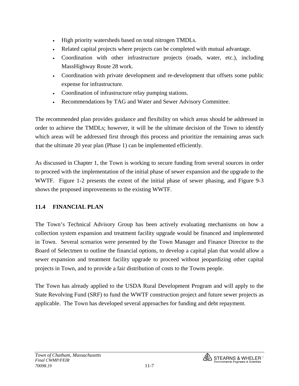- High priority watersheds based on total nitrogen TMDLs.
- Related capital projects where projects can be completed with mutual advantage.
- Coordination with other infrastructure projects (roads, water, etc.), including MassHighway Route 28 work.
- Coordination with private development and re-development that offsets some public expense for infrastructure.
- Coordination of infrastructure relay pumping stations.
- Recommendations by TAG and Water and Sewer Advisory Committee.

The recommended plan provides guidance and flexibility on which areas should be addressed in order to achieve the TMDLs; however, it will be the ultimate decision of the Town to identify which areas will be addressed first through this process and prioritize the remaining areas such that the ultimate 20 year plan (Phase 1) can be implemented efficiently.

As discussed in Chapter 1, the Town is working to secure funding from several sources in order to proceed with the implementation of the initial phase of sewer expansion and the upgrade to the WWTF. Figure 1-2 presents the extent of the initial phase of sewer phasing, and Figure 9-3 shows the proposed improvements to the existing WWTF.

# **11.4 FINANCIAL PLAN**

The Town's Technical Advisory Group has been actively evaluating mechanisms on how a collection system expansion and treatment facility upgrade would be financed and implemented in Town. Several scenarios were presented by the Town Manager and Finance Director to the Board of Selectmen to outline the financial options, to develop a capital plan that would allow a sewer expansion and treatment facility upgrade to proceed without jeopardizing other capital projects in Town, and to provide a fair distribution of costs to the Towns people.

The Town has already applied to the USDA Rural Development Program and will apply to the State Revolving Fund (SRF) to fund the WWTF construction project and future sewer projects as applicable. The Town has developed several approaches for funding and debt repayment.

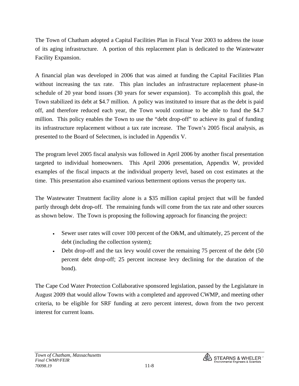The Town of Chatham adopted a Capital Facilities Plan in Fiscal Year 2003 to address the issue of its aging infrastructure. A portion of this replacement plan is dedicated to the Wastewater Facility Expansion.

A financial plan was developed in 2006 that was aimed at funding the Capital Facilities Plan without increasing the tax rate. This plan includes an infrastructure replacement phase-in schedule of 20 year bond issues (30 years for sewer expansion). To accomplish this goal, the Town stabilized its debt at \$4.7 million. A policy was instituted to insure that as the debt is paid off, and therefore reduced each year, the Town would continue to be able to fund the \$4.7 million. This policy enables the Town to use the "debt drop-off" to achieve its goal of funding its infrastructure replacement without a tax rate increase. The Town's 2005 fiscal analysis, as presented to the Board of Selectmen, is included in Appendix V.

The program level 2005 fiscal analysis was followed in April 2006 by another fiscal presentation targeted to individual homeowners. This April 2006 presentation, Appendix W, provided examples of the fiscal impacts at the individual property level, based on cost estimates at the time. This presentation also examined various betterment options versus the property tax.

The Wastewater Treatment facility alone is a \$35 million capital project that will be funded partly through debt drop-off. The remaining funds will come from the tax rate and other sources as shown below. The Town is proposing the following approach for financing the project:

- Sewer user rates will cover 100 percent of the O&M, and ultimately, 25 percent of the debt (including the collection system);
- Debt drop-off and the tax levy would cover the remaining 75 percent of the debt (50) percent debt drop-off; 25 percent increase levy declining for the duration of the bond).

The Cape Cod Water Protection Collaborative sponsored legislation, passed by the Legislature in August 2009 that would allow Towns with a completed and approved CWMP, and meeting other criteria, to be eligible for SRF funding at zero percent interest, down from the two percent interest for current loans.

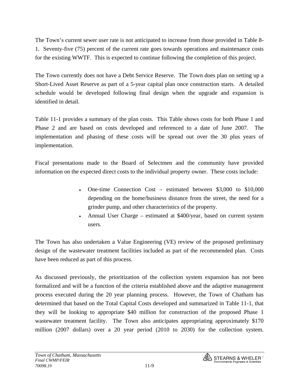The Town's current sewer user rate is not anticipated to increase from those provided in Table 8- 1. Seventy-five (75) percent of the current rate goes towards operations and maintenance costs for the existing WWTF. This is expected to continue following the completion of this project.

The Town currently does not have a Debt Service Reserve. The Town does plan on setting up a Short-Lived Asset Reserve as part of a 5-year capital plan once construction starts. A detailed schedule would be developed following final design when the upgrade and expansion is identified in detail.

Table 11-1 provides a summary of the plan costs. This Table shows costs for both Phase 1 and Phase 2 and are based on costs developed and referenced to a date of June 2007. The implementation and phasing of these costs will be spread out over the 30 plus years of implementation.

Fiscal presentations made to the Board of Selectmen and the community have provided information on the expected direct costs to the individual property owner. These costs include:

- One-time Connection Cost estimated between \$3,000 to \$10,000 depending on the home/business distance from the street, the need for a grinder pump, and other characteristics of the property.
- Annual User Charge estimated at \$400/year, based on current system users.

The Town has also undertaken a Value Engineering (VE) review of the proposed preliminary design of the wastewater treatment facilities included as part of the recommended plan. Costs have been reduced as part of this process.

As discussed previously, the prioritization of the collection system expansion has not been formalized and will be a function of the criteria established above and the adaptive management process executed during the 20 year planning process. However, the Town of Chatham has determined that based on the Total Capital Costs developed and summarized in Table 11-1, that they will be looking to appropriate \$40 million for construction of the proposed Phase 1 wastewater treatment facility. The Town also anticipates appropriating approximately \$170 million (2007 dollars) over a 20 year period (2010 to 2030) for the collection system.

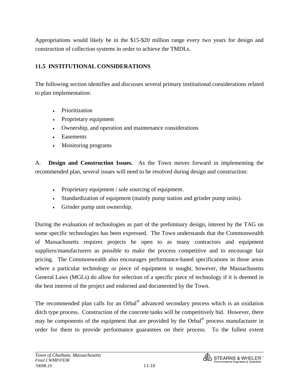Appropriations would likely be in the \$15-\$20 million range every two years for design and construction of collection systems in order to achieve the TMDLs.

#### **11.5 INSTITUTIONAL CONSIDERATIONS**

The following section identifies and discusses several primary institutional considerations related to plan implementation:

- Prioritization
- Proprietary equipment
- Ownership, and operation and maintenance considerations
- Easements
- Monitoring programs

A. **Design and Construction Issues.** As the Town moves forward in implementing the recommended plan, several issues will need to be resolved during design and construction:

- Proprietary equipment / sole sourcing of equipment.
- Standardization of equipment (mainly pump station and grinder pump units).
- Grinder pump unit ownership.

During the evaluation of technologies as part of the preliminary design, interest by the TAG on some specific technologies has been expressed. The Town understands that the Commonwealth of Massachusetts requires projects be open to as many contractors and equipment suppliers/manufacturers as possible to make the process competitive and to encourage fair pricing. The Commonwealth also encourages performance-based specifications in those areas where a particular technology or piece of equipment is sought, however, the Massachusetts General Laws (MGLs) do allow for selection of a specific piece of technology if it is deemed in the best interest of the project and endorsed and documented by the Town.

The recommended plan calls for an Orbal® advanced secondary process which is an oxidation ditch type process. Construction of the concrete tanks will be competitively bid. However, there may be components of the equipment that are provided by the Orbal® process manufacturer in order for them to provide performance guarantees on their process. To the fullest extent

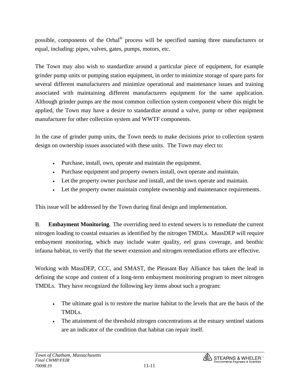possible, components of the Orbal® process will be specified naming three manufacturers or equal, including: pipes, valves, gates, pumps, motors, etc.

The Town may also wish to standardize around a particular piece of equipment, for example grinder pump units or pumping station equipment, in order to minimize storage of spare parts for several different manufacturers and minimize operational and maintenance issues and training associated with maintaining different manufacturers equipment for the same application. Although grinder pumps are the most common collection system component where this might be applied, the Town may have a desire to standardize around a valve, pump or other equipment manufacturer for other collection system and WWTF components.

In the case of grinder pump units, the Town needs to make decisions prior to collection system design on ownership issues associated with these units. The Town may elect to:

- Purchase, install, own, operate and maintain the equipment.
- Purchase equipment and property owners install, own operate and maintain.
- Let the property owner purchase and install, and the town operate and maintain.
- Let the property owner maintain complete ownership and maintenance requirements.

This issue will be addressed by the Town during final design and implementation.

B. **Embayment Monitoring.** The overriding need to extend sewers is to remediate the current nitrogen loading to coastal estuaries as identified by the nitrogen TMDLs. MassDEP will require embayment monitoring, which may include water quality, eel grass coverage, and benthic infauna habitat, to verify that the sewer extension and nitrogen remediation efforts are effective.

Working with MassDEP, CCC, and SMAST, the Pleasant Bay Alliance has taken the lead in defining the scope and content of a long-term embayment monitoring program to meet nitrogen TMDLs. They have recognized the following key items about such a program:

- The ultimate goal is to restore the marine habitat to the levels that are the basis of the TMDLs.
- The attainment of the threshold nitrogen concentrations at the estuary sentinel stations are an indicator of the condition that habitat can repair itself.

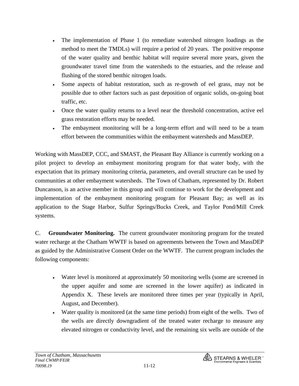- The implementation of Phase 1 (to remediate watershed nitrogen loadings as the method to meet the TMDLs) will require a period of 20 years. The positive response of the water quality and benthic habitat will require several more years, given the groundwater travel time from the watersheds to the estuaries, and the release and flushing of the stored benthic nitrogen loads.
- Some aspects of habitat restoration, such as re-growth of eel grass, may not be possible due to other factors such as past deposition of organic solids, on-going boat traffic, etc.
- Once the water quality returns to a level near the threshold concentration, active eel grass restoration efforts may be needed.
- The embayment monitoring will be a long-term effort and will need to be a team effort between the communities within the embayment watersheds and MassDEP.

Working with MassDEP, CCC, and SMAST, the Pleasant Bay Alliance is currently working on a pilot project to develop an embayment monitoring program for that water body, with the expectation that its primary monitoring criteria, parameters, and overall structure can be used by communities at other embayment watersheds. The Town of Chatham, represented by Dr. Robert Duncanson, is an active member in this group and will continue to work for the development and implementation of the embayment monitoring program for Pleasant Bay; as well as its application to the Stage Harbor, Sulfur Springs/Bucks Creek, and Taylor Pond/Mill Creek systems.

C. **Groundwater Monitoring.** The current groundwater monitoring program for the treated water recharge at the Chatham WWTF is based on agreements between the Town and MassDEP as guided by the Administrative Consent Order on the WWTF. The current program includes the following components:

- Water level is monitored at approximately 50 monitoring wells (some are screened in the upper aquifer and some are screened in the lower aquifer) as indicated in Appendix X. These levels are monitored three times per year (typically in April, August, and December).
- Water quality is monitored (at the same time periods) from eight of the wells. Two of the wells are directly downgradient of the treated water recharge to measure any elevated nitrogen or conductivity level, and the remaining six wells are outside of the

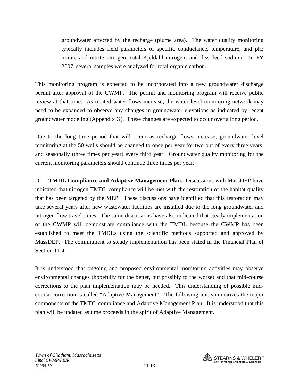groundwater affected by the recharge (plume area). The water quality monitoring typically includes field parameters of specific conductance, temperature, and pH; nitrate and nitrite nitrogen; total Kjeldahl nitrogen; and dissolved sodium. In FY 2007, several samples were analyzed for total organic carbon.

This monitoring program is expected to be incorporated into a new groundwater discharge permit after approval of the CWMP. The permit and monitoring program will receive public review at that time. As treated water flows increase, the water level monitoring network may need to be expanded to observe any changes in groundwater elevations as indicated by recent groundwater modeling (Appendix G). These changes are expected to occur over a long period.

Due to the long time period that will occur as recharge flows increase, groundwater level monitoring at the 50 wells should be changed to once per year for two out of every three years, and seasonally (three times per year) every third year. Groundwater quality monitoring for the current monitoring parameters should continue three times per year.

D. **TMDL Compliance and Adaptive Management Plan.** Discussions with MassDEP have indicated that nitrogen TMDL compliance will be met with the restoration of the habitat quality that has been targeted by the MEP. These discussions have identified that this restoration may take several years after new wastewater facilities are installed due to the long groundwater and nitrogen flow travel times. The same discussions have also indicated that steady implementation of the CWMP will demonstrate compliance with the TMDL because the CWMP has been established to meet the TMDLs using the scientific methods supported and approved by MassDEP. The commitment to steady implementation has been stated in the Financial Plan of Section 11.4.

It is understood that ongoing and proposed environmental monitoring activities may observe environmental changes (hopefully for the better, but possibly to the worse) and that mid-course corrections to the plan implementation may be needed. This understanding of possible midcourse correction is called "Adaptive Management". The following text summarizes the major components of the TMDL compliance and Adaptive Management Plan. It is understood that this plan will be updated as time proceeds in the spirit of Adaptive Management.

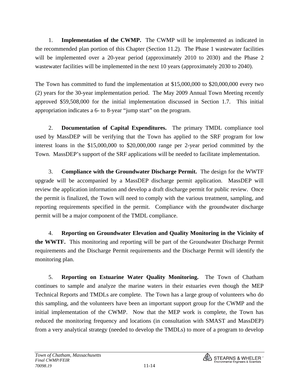1. **Implementation of the CWMP.** The CWMP will be implemented as indicated in the recommended plan portion of this Chapter (Section 11.2). The Phase 1 wastewater facilities will be implemented over a 20-year period (approximately 2010 to 2030) and the Phase 2 wastewater facilities will be implemented in the next 10 years (approximately 2030 to 2040).

The Town has committed to fund the implementation at \$15,000,000 to \$20,000,000 every two (2) years for the 30-year implementation period. The May 2009 Annual Town Meeting recently approved \$59,508,000 for the initial implementation discussed in Section 1.7. This initial appropriation indicates a 6- to 8-year "jump start" on the program.

 2. **Documentation of Capital Expenditures.** The primary TMDL compliance tool used by MassDEP will be verifying that the Town has applied to the SRF program for low interest loans in the \$15,000,000 to \$20,000,000 range per 2-year period committed by the Town. MassDEP's support of the SRF applications will be needed to facilitate implementation.

 3. **Compliance with the Groundwater Discharge Permit.** The design for the WWTF upgrade will be accompanied by a MassDEP discharge permit application. MassDEP will review the application information and develop a draft discharge permit for public review. Once the permit is finalized, the Town will need to comply with the various treatment, sampling, and reporting requirements specified in the permit. Compliance with the groundwater discharge permit will be a major component of the TMDL compliance.

 4. **Reporting on Groundwater Elevation and Quality Monitoring in the Vicinity of the WWTF.** This monitoring and reporting will be part of the Groundwater Discharge Permit requirements and the Discharge Permit requirements and the Discharge Permit will identify the monitoring plan.

 5. **Reporting on Estuarine Water Quality Monitoring.** The Town of Chatham continues to sample and analyze the marine waters in their estuaries even though the MEP Technical Reports and TMDLs are complete. The Town has a large group of volunteers who do this sampling, and the volunteers have been an important support group for the CWMP and the initial implementation of the CWMP. Now that the MEP work is complete, the Town has reduced the monitoring frequency and locations (in consultation with SMAST and MassDEP) from a very analytical strategy (needed to develop the TMDLs) to more of a program to develop

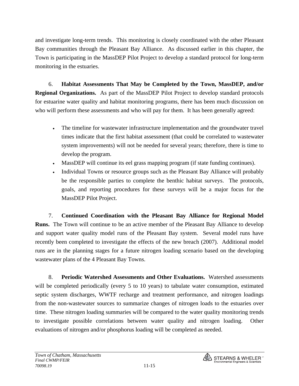and investigate long-term trends. This monitoring is closely coordinated with the other Pleasant Bay communities through the Pleasant Bay Alliance. As discussed earlier in this chapter, the Town is participating in the MassDEP Pilot Project to develop a standard protocol for long-term monitoring in the estuaries.

 6. **Habitat Assessments That May be Completed by the Town, MassDEP, and/or Regional Organizations.** As part of the MassDEP Pilot Project to develop standard protocols for estuarine water quality and habitat monitoring programs, there has been much discussion on who will perform these assessments and who will pay for them. It has been generally agreed:

- The timeline for wastewater infrastructure implementation and the groundwater travel times indicate that the first habitat assessment (that could be correlated to wastewater system improvements) will not be needed for several years; therefore, there is time to develop the program.
- MassDEP will continue its eel grass mapping program (if state funding continues).
- Individual Towns or resource groups such as the Pleasant Bay Alliance will probably be the responsible parties to complete the benthic habitat surveys. The protocols, goals, and reporting procedures for these surveys will be a major focus for the MassDEP Pilot Project.

 7. **Continued Coordination with the Pleasant Bay Alliance for Regional Model Runs.** The Town will continue to be an active member of the Pleasant Bay Alliance to develop and support water quality model runs of the Pleasant Bay system. Several model runs have recently been completed to investigate the effects of the new breach (2007). Additional model runs are in the planning stages for a future nitrogen loading scenario based on the developing wastewater plans of the 4 Pleasant Bay Towns.

 8. **Periodic Watershed Assessments and Other Evaluations.** Watershed assessments will be completed periodically (every 5 to 10 years) to tabulate water consumption, estimated septic system discharges, WWTF recharge and treatment performance, and nitrogen loadings from the non-wastewater sources to summarize changes of nitrogen loads to the estuaries over time. These nitrogen loading summaries will be compared to the water quality monitoring trends to investigate possible correlations between water quality and nitrogen loading. Other evaluations of nitrogen and/or phosphorus loading will be completed as needed.